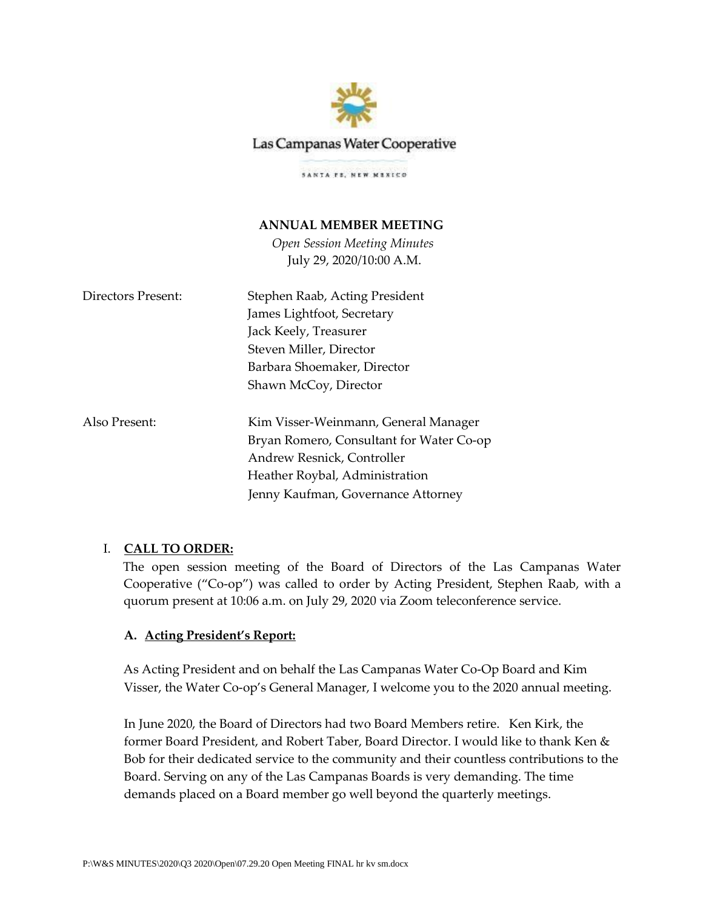

# Las Campanas Water Cooperative

SANTA PE, NEW MENICO

## **ANNUAL MEMBER MEETING**

*Open Session Meeting Minutes* July 29, 2020/10:00 A.M.

| Directors Present: | Stephen Raab, Acting President           |
|--------------------|------------------------------------------|
|                    | James Lightfoot, Secretary               |
|                    | Jack Keely, Treasurer                    |
|                    | Steven Miller, Director                  |
|                    | Barbara Shoemaker, Director              |
|                    | Shawn McCoy, Director                    |
| Also Present:      | Kim Visser-Weinmann, General Manager     |
|                    | Bryan Romero, Consultant for Water Co-op |
|                    | Andrew Resnick, Controller               |
|                    | Heather Roybal, Administration           |

## I. **CALL TO ORDER:**

The open session meeting of the Board of Directors of the Las Campanas Water Cooperative ("Co-op") was called to order by Acting President, Stephen Raab, with a quorum present at 10:06 a.m. on July 29, 2020 via Zoom teleconference service.

Jenny Kaufman, Governance Attorney

## **A. Acting President's Report:**

As Acting President and on behalf the Las Campanas Water Co-Op Board and Kim Visser, the Water Co-op's General Manager, I welcome you to the 2020 annual meeting.

In June 2020, the Board of Directors had two Board Members retire. Ken Kirk, the former Board President, and Robert Taber, Board Director. I would like to thank Ken & Bob for their dedicated service to the community and their countless contributions to the Board. Serving on any of the Las Campanas Boards is very demanding. The time demands placed on a Board member go well beyond the quarterly meetings.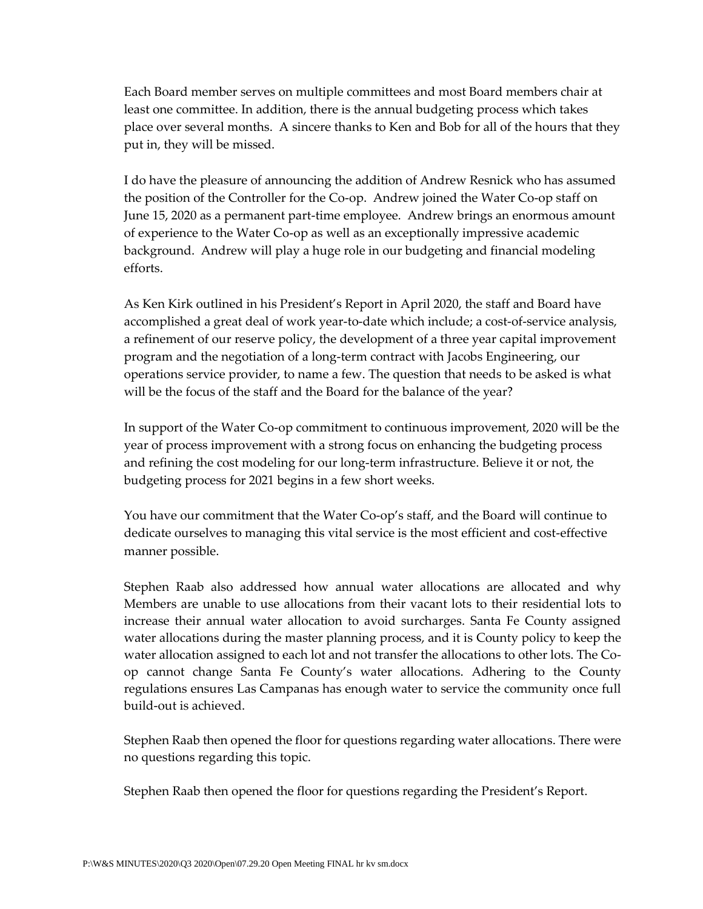Each Board member serves on multiple committees and most Board members chair at least one committee. In addition, there is the annual budgeting process which takes place over several months. A sincere thanks to Ken and Bob for all of the hours that they put in, they will be missed.

I do have the pleasure of announcing the addition of Andrew Resnick who has assumed the position of the Controller for the Co-op. Andrew joined the Water Co-op staff on June 15, 2020 as a permanent part-time employee. Andrew brings an enormous amount of experience to the Water Co-op as well as an exceptionally impressive academic background. Andrew will play a huge role in our budgeting and financial modeling efforts.

As Ken Kirk outlined in his President's Report in April 2020, the staff and Board have accomplished a great deal of work year-to-date which include; a cost-of-service analysis, a refinement of our reserve policy, the development of a three year capital improvement program and the negotiation of a long-term contract with Jacobs Engineering, our operations service provider, to name a few. The question that needs to be asked is what will be the focus of the staff and the Board for the balance of the year?

In support of the Water Co-op commitment to continuous improvement, 2020 will be the year of process improvement with a strong focus on enhancing the budgeting process and refining the cost modeling for our long-term infrastructure. Believe it or not, the budgeting process for 2021 begins in a few short weeks.

You have our commitment that the Water Co-op's staff, and the Board will continue to dedicate ourselves to managing this vital service is the most efficient and cost-effective manner possible.

Stephen Raab also addressed how annual water allocations are allocated and why Members are unable to use allocations from their vacant lots to their residential lots to increase their annual water allocation to avoid surcharges. Santa Fe County assigned water allocations during the master planning process, and it is County policy to keep the water allocation assigned to each lot and not transfer the allocations to other lots. The Coop cannot change Santa Fe County's water allocations. Adhering to the County regulations ensures Las Campanas has enough water to service the community once full build-out is achieved.

Stephen Raab then opened the floor for questions regarding water allocations. There were no questions regarding this topic.

Stephen Raab then opened the floor for questions regarding the President's Report.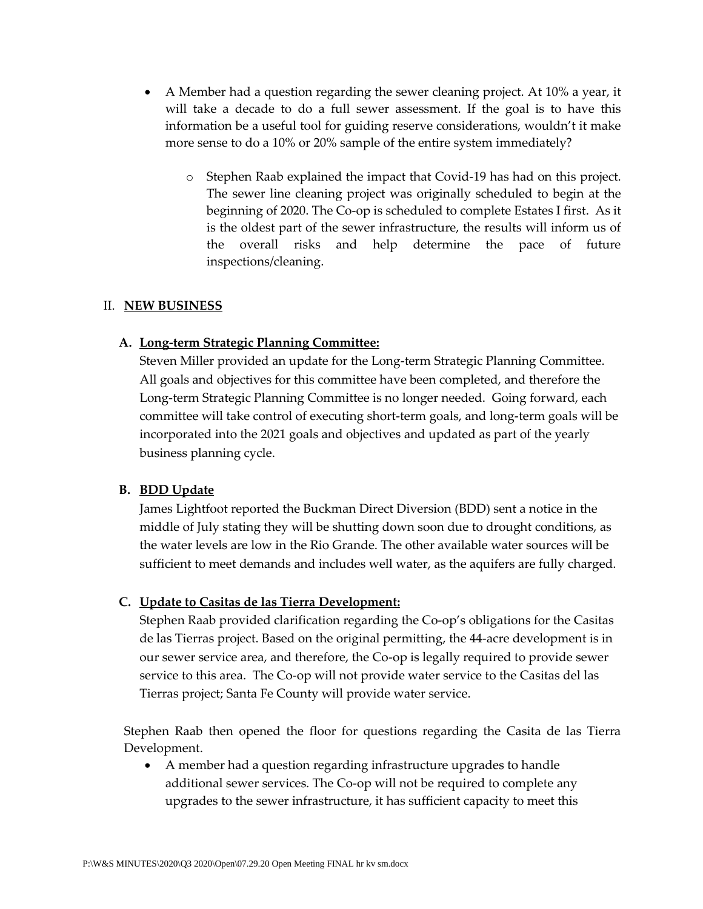- A Member had a question regarding the sewer cleaning project. At 10% a year, it will take a decade to do a full sewer assessment. If the goal is to have this information be a useful tool for guiding reserve considerations, wouldn't it make more sense to do a 10% or 20% sample of the entire system immediately?
	- o Stephen Raab explained the impact that Covid-19 has had on this project. The sewer line cleaning project was originally scheduled to begin at the beginning of 2020. The Co-op is scheduled to complete Estates I first. As it is the oldest part of the sewer infrastructure, the results will inform us of the overall risks and help determine the pace of future inspections/cleaning.

## II. **NEW BUSINESS**

### **A. Long-term Strategic Planning Committee:**

Steven Miller provided an update for the Long-term Strategic Planning Committee. All goals and objectives for this committee have been completed, and therefore the Long-term Strategic Planning Committee is no longer needed. Going forward, each committee will take control of executing short-term goals, and long-term goals will be incorporated into the 2021 goals and objectives and updated as part of the yearly business planning cycle.

### **B. BDD Update**

James Lightfoot reported the Buckman Direct Diversion (BDD) sent a notice in the middle of July stating they will be shutting down soon due to drought conditions, as the water levels are low in the Rio Grande. The other available water sources will be sufficient to meet demands and includes well water, as the aquifers are fully charged.

#### **C. Update to Casitas de las Tierra Development:**

Stephen Raab provided clarification regarding the Co-op's obligations for the Casitas de las Tierras project. Based on the original permitting, the 44-acre development is in our sewer service area, and therefore, the Co-op is legally required to provide sewer service to this area. The Co-op will not provide water service to the Casitas del las Tierras project; Santa Fe County will provide water service.

Stephen Raab then opened the floor for questions regarding the Casita de las Tierra Development.

• A member had a question regarding infrastructure upgrades to handle additional sewer services. The Co-op will not be required to complete any upgrades to the sewer infrastructure, it has sufficient capacity to meet this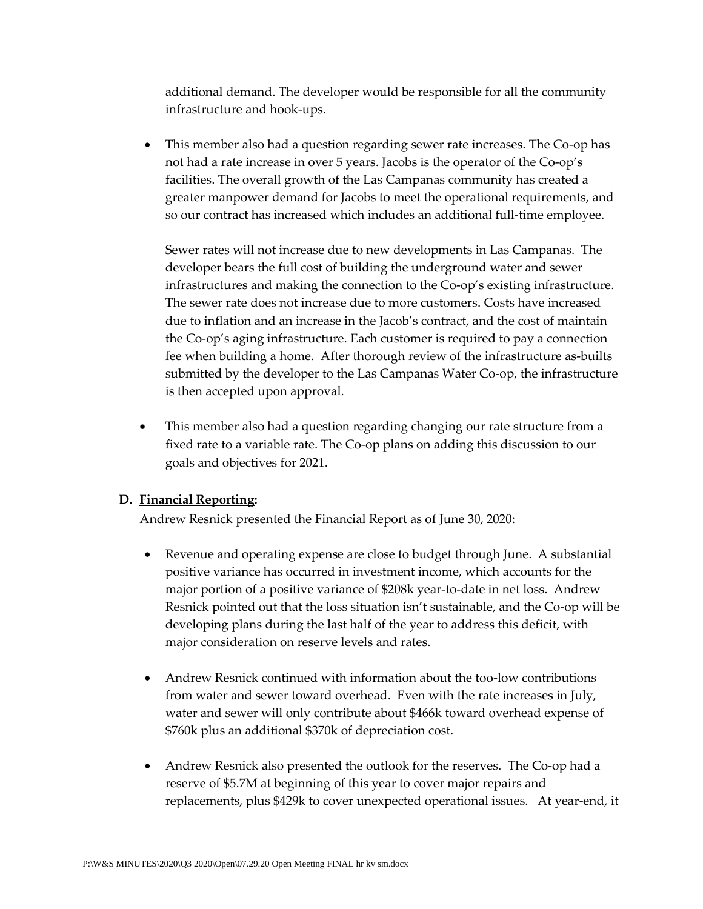additional demand. The developer would be responsible for all the community infrastructure and hook-ups.

• This member also had a question regarding sewer rate increases. The Co-op has not had a rate increase in over 5 years. Jacobs is the operator of the Co-op's facilities. The overall growth of the Las Campanas community has created a greater manpower demand for Jacobs to meet the operational requirements, and so our contract has increased which includes an additional full-time employee.

Sewer rates will not increase due to new developments in Las Campanas. The developer bears the full cost of building the underground water and sewer infrastructures and making the connection to the Co-op's existing infrastructure. The sewer rate does not increase due to more customers. Costs have increased due to inflation and an increase in the Jacob's contract, and the cost of maintain the Co-op's aging infrastructure. Each customer is required to pay a connection fee when building a home. After thorough review of the infrastructure as-builts submitted by the developer to the Las Campanas Water Co-op, the infrastructure is then accepted upon approval.

• This member also had a question regarding changing our rate structure from a fixed rate to a variable rate. The Co-op plans on adding this discussion to our goals and objectives for 2021.

## **D. Financial Reporting:**

Andrew Resnick presented the Financial Report as of June 30, 2020:

- Revenue and operating expense are close to budget through June. A substantial positive variance has occurred in investment income, which accounts for the major portion of a positive variance of \$208k year-to-date in net loss. Andrew Resnick pointed out that the loss situation isn't sustainable, and the Co-op will be developing plans during the last half of the year to address this deficit, with major consideration on reserve levels and rates.
- Andrew Resnick continued with information about the too-low contributions from water and sewer toward overhead. Even with the rate increases in July, water and sewer will only contribute about \$466k toward overhead expense of \$760k plus an additional \$370k of depreciation cost.
- Andrew Resnick also presented the outlook for the reserves. The Co-op had a reserve of \$5.7M at beginning of this year to cover major repairs and replacements, plus \$429k to cover unexpected operational issues. At year-end, it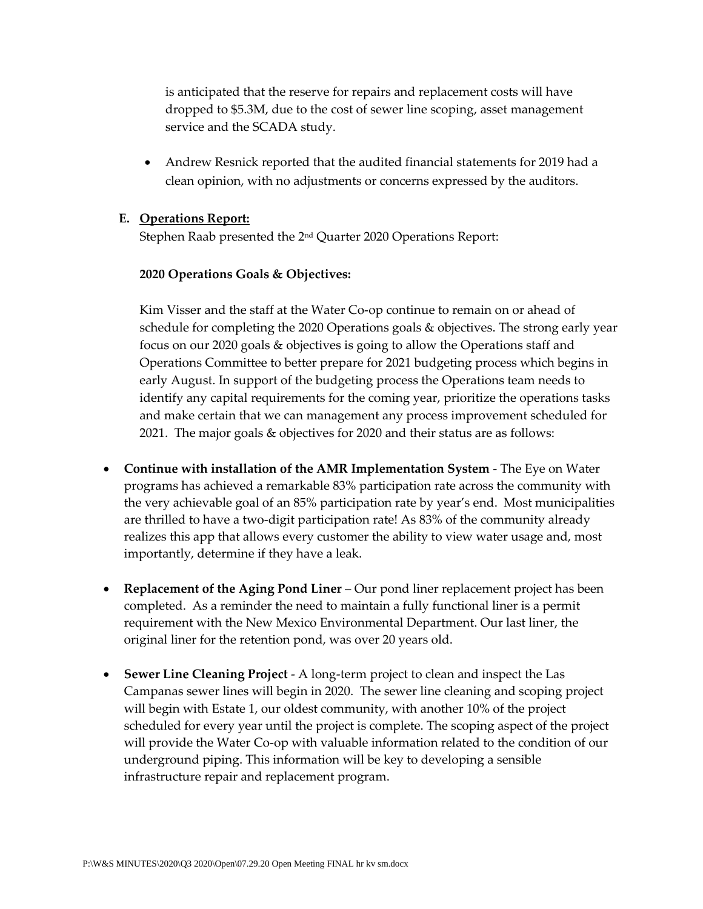is anticipated that the reserve for repairs and replacement costs will have dropped to \$5.3M, due to the cost of sewer line scoping, asset management service and the SCADA study.

• Andrew Resnick reported that the audited financial statements for 2019 had a clean opinion, with no adjustments or concerns expressed by the auditors.

### **E. Operations Report:**

Stephen Raab presented the 2nd Quarter 2020 Operations Report:

### **2020 Operations Goals & Objectives:**

Kim Visser and the staff at the Water Co-op continue to remain on or ahead of schedule for completing the 2020 Operations goals & objectives. The strong early year focus on our 2020 goals & objectives is going to allow the Operations staff and Operations Committee to better prepare for 2021 budgeting process which begins in early August. In support of the budgeting process the Operations team needs to identify any capital requirements for the coming year, prioritize the operations tasks and make certain that we can management any process improvement scheduled for 2021. The major goals & objectives for 2020 and their status are as follows:

- **Continue with installation of the AMR Implementation System**  The Eye on Water programs has achieved a remarkable 83% participation rate across the community with the very achievable goal of an 85% participation rate by year's end. Most municipalities are thrilled to have a two-digit participation rate! As 83% of the community already realizes this app that allows every customer the ability to view water usage and, most importantly, determine if they have a leak.
- **Replacement of the Aging Pond Liner** Our pond liner replacement project has been completed. As a reminder the need to maintain a fully functional liner is a permit requirement with the New Mexico Environmental Department. Our last liner, the original liner for the retention pond, was over 20 years old.
- **Sewer Line Cleaning Project**  A long-term project to clean and inspect the Las Campanas sewer lines will begin in 2020. The sewer line cleaning and scoping project will begin with Estate 1, our oldest community, with another 10% of the project scheduled for every year until the project is complete. The scoping aspect of the project will provide the Water Co-op with valuable information related to the condition of our underground piping. This information will be key to developing a sensible infrastructure repair and replacement program.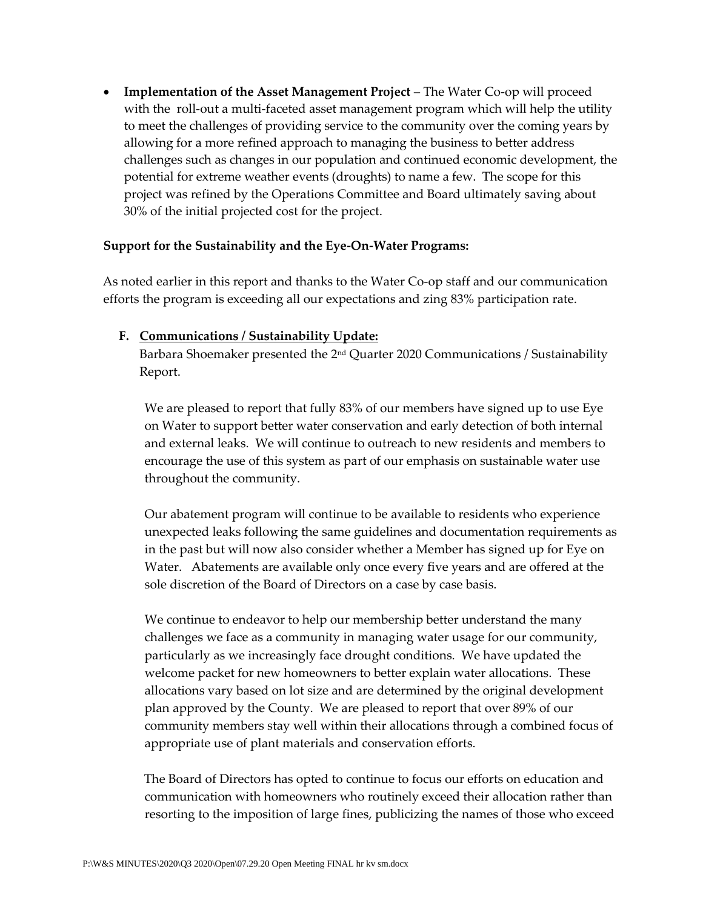• **Implementation of the Asset Management Project** – The Water Co-op will proceed with the roll-out a multi-faceted asset management program which will help the utility to meet the challenges of providing service to the community over the coming years by allowing for a more refined approach to managing the business to better address challenges such as changes in our population and continued economic development, the potential for extreme weather events (droughts) to name a few. The scope for this project was refined by the Operations Committee and Board ultimately saving about 30% of the initial projected cost for the project.

## **Support for the Sustainability and the Eye-On-Water Programs:**

As noted earlier in this report and thanks to the Water Co-op staff and our communication efforts the program is exceeding all our expectations and zing 83% participation rate.

### **F. Communications / Sustainability Update:**

Barbara Shoemaker presented the 2ʰd Quarter 2020 Communications / Sustainability Report.

We are pleased to report that fully 83% of our members have signed up to use Eye on Water to support better water conservation and early detection of both internal and external leaks. We will continue to outreach to new residents and members to encourage the use of this system as part of our emphasis on sustainable water use throughout the community.

Our abatement program will continue to be available to residents who experience unexpected leaks following the same guidelines and documentation requirements as in the past but will now also consider whether a Member has signed up for Eye on Water. Abatements are available only once every five years and are offered at the sole discretion of the Board of Directors on a case by case basis.

We continue to endeavor to help our membership better understand the many challenges we face as a community in managing water usage for our community, particularly as we increasingly face drought conditions. We have updated the welcome packet for new homeowners to better explain water allocations. These allocations vary based on lot size and are determined by the original development plan approved by the County. We are pleased to report that over 89% of our community members stay well within their allocations through a combined focus of appropriate use of plant materials and conservation efforts.

The Board of Directors has opted to continue to focus our efforts on education and communication with homeowners who routinely exceed their allocation rather than resorting to the imposition of large fines, publicizing the names of those who exceed